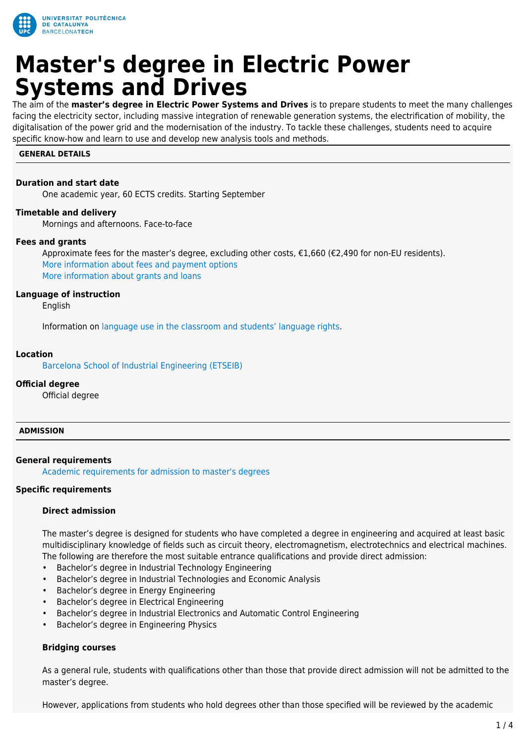

# **Master's degree in Electric Power Systems and Drives**

The aim of the **master's degree in Electric Power Systems and Drives** is to prepare students to meet the many challenges facing the electricity sector, including massive integration of renewable generation systems, the electrification of mobility, the digitalisation of the power grid and the modernisation of the industry. To tackle these challenges, students need to acquire specific know-how and learn to use and develop new analysis tools and methods.

#### **GENERAL DETAILS**

#### **Duration and start date**

One academic year, 60 ECTS credits. Starting September

#### **Timetable and delivery**

Mornings and afternoons. Face-to-face

#### **Fees and grants**

Approximate fees for the master's degree, excluding other costs, €1,660 (€2,490 for non-EU residents). [More information about fees and payment options](https://www.upc.edu/en/masters/fees-grants) [More information about grants and loans](https://www-upc-edu.translate.goog/sga/es/Becas?_x_tr_sl=ca&_x_tr_tl=en&_x_tr_hl=ca&_x_tr_pto=wapp)

#### **Language of instruction**

English

Information on [language use in the classroom and students' language rights](https://www.upc.edu/slt/en/upc-language-policy/language-uses-rights/language-uses-rights-upc?set_language=en).

#### **Location**

[Barcelona School of Industrial Engineering \(ETSEIB\)](https://maps.upc.edu/?iU=412&lang=en)

#### **Official degree**

Official degree

#### **ADMISSION**

#### **General requirements**

[Academic requirements for admission to master's degrees](https://upc.edu/en/masters/access-and-admission/academic-requirements)

#### **Specific requirements**

#### **Direct admission**

The master's degree is designed for students who have completed a degree in engineering and acquired at least basic multidisciplinary knowledge of fields such as circuit theory, electromagnetism, electrotechnics and electrical machines. The following are therefore the most suitable entrance qualifications and provide direct admission:

- Bachelor's degree in Industrial Technology Engineering
- Bachelor's degree in Industrial Technologies and Economic Analysis
- Bachelor's degree in Energy Engineering
- Bachelor's degree in Electrical Engineering
- Bachelor's degree in Industrial Electronics and Automatic Control Engineering
- Bachelor's degree in Engineering Physics

#### **Bridging courses**

As a general rule, students with qualifications other than those that provide direct admission will not be admitted to the master's degree.

However, applications from students who hold degrees other than those specified will be reviewed by the academic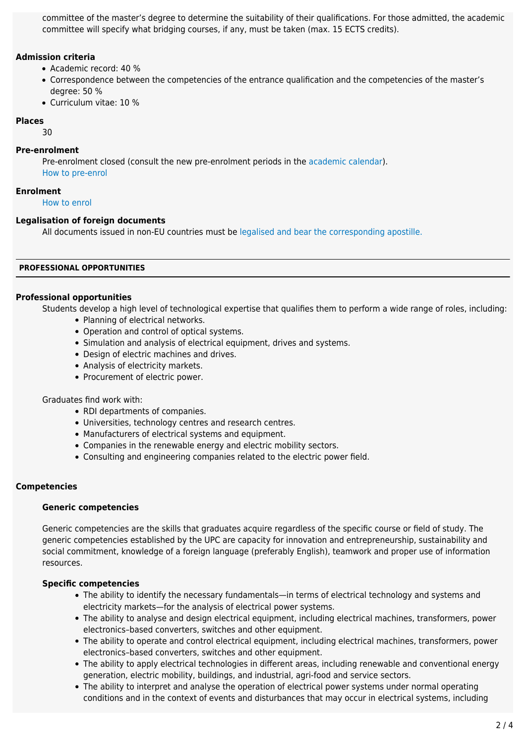committee of the master's degree to determine the suitability of their qualifications. For those admitted, the academic committee will specify what bridging courses, if any, must be taken (max. 15 ECTS credits).

# **Admission criteria**

- Academic record: 40 %
- Correspondence between the competencies of the entrance qualification and the competencies of the master's degree: 50 %
- Curriculum vitae: 10 %

# **Places**

30

# **Pre-enrolment**

Pre-enrolment closed (consult the new pre-enrolment periods in the [academic calendar\)](https://www.upc.edu/en/bachelors/academic-calendar-and-academic-regulations). [How to pre-enrol](https://upc.edu/en/masters/access-and-admission/pre-enrolment)

# **Enrolment**

[How to enrol](https://upc.edu/en/masters/access-and-admission)

# **Legalisation of foreign documents**

All documents issued in non-EU countries must be [legalised and bear the corresponding apostille.](https://www.upc.edu/sga/es/expedientes/LegDoc)

# **PROFESSIONAL OPPORTUNITIES**

# **Professional opportunities**

Students develop a high level of technological expertise that qualifies them to perform a wide range of roles, including: • Planning of electrical networks.

- Operation and control of optical systems.
- Simulation and analysis of electrical equipment, drives and systems.
- Design of electric machines and drives.
- Analysis of electricity markets.
- Procurement of electric power.

# Graduates find work with:

- RDI departments of companies.
- Universities, technology centres and research centres.
- Manufacturers of electrical systems and equipment.
- Companies in the renewable energy and electric mobility sectors.
- Consulting and engineering companies related to the electric power field.

# **Competencies**

# **Generic competencies**

Generic competencies are the skills that graduates acquire regardless of the specific course or field of study. The generic competencies established by the UPC are capacity for innovation and entrepreneurship, sustainability and social commitment, knowledge of a foreign language (preferably English), teamwork and proper use of information resources.

# **Specific competencies**

- The ability to identify the necessary fundamentals—in terms of electrical technology and systems and electricity markets—for the analysis of electrical power systems.
- The ability to analyse and design electrical equipment, including electrical machines, transformers, power electronics–based converters, switches and other equipment.
- The ability to operate and control electrical equipment, including electrical machines, transformers, power electronics–based converters, switches and other equipment.
- The ability to apply electrical technologies in different areas, including renewable and conventional energy generation, electric mobility, buildings, and industrial, agri-food and service sectors.
- The ability to interpret and analyse the operation of electrical power systems under normal operating conditions and in the context of events and disturbances that may occur in electrical systems, including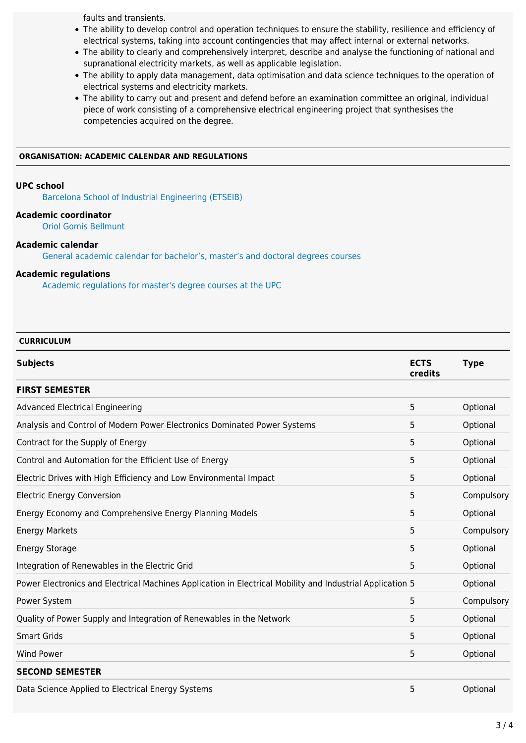faults and transients.

- The ability to develop control and operation techniques to ensure the stability, resilience and efficiency of electrical systems, taking into account contingencies that may affect internal or external networks.
- The ability to clearly and comprehensively interpret, describe and analyse the functioning of national and supranational electricity markets, as well as applicable legislation.
- The ability to apply data management, data optimisation and data science techniques to the operation of electrical systems and electricity markets.
- The ability to carry out and present and defend before an examination committee an original, individual piece of work consisting of a comprehensive electrical engineering project that synthesises the competencies acquired on the degree.

#### **ORGANISATION: ACADEMIC CALENDAR AND REGULATIONS**

#### **UPC school**

[Barcelona School of Industrial Engineering \(ETSEIB\)](https://upc.edu/en/the-upc/schools/etseib)

# **Academic coordinator**

[Oriol Gomis Bellmunt](http://futur.upc.edu/OriolGomisBellmunt?locale=en)

#### **Academic calendar**

[General academic calendar for bachelor's, master's and doctoral degrees courses](https://www.upc.edu/en/bachelors/academic-calendar-and-academic-regulations)

# **Academic regulations**

[Academic regulations for master's degree courses at the UPC](https://www.upc.edu/sga/ca/shared/fitxers-normatives/AcademicRegulations_EN/NAGRAMA/nagrama-18-19_en_definitiva.pdf)

# **CURRICULUM**

| <b>Subjects</b>                                                                                           | <b>ECTS</b><br>credits | <b>Type</b> |
|-----------------------------------------------------------------------------------------------------------|------------------------|-------------|
| <b>FIRST SEMESTER</b>                                                                                     |                        |             |
| <b>Advanced Electrical Engineering</b>                                                                    | 5                      | Optional    |
| Analysis and Control of Modern Power Electronics Dominated Power Systems                                  | 5                      | Optional    |
| Contract for the Supply of Energy                                                                         | 5                      | Optional    |
| Control and Automation for the Efficient Use of Energy                                                    | 5                      | Optional    |
| Electric Drives with High Efficiency and Low Environmental Impact                                         | 5                      | Optional    |
| <b>Electric Energy Conversion</b>                                                                         | 5                      | Compulsory  |
| Energy Economy and Comprehensive Energy Planning Models                                                   | 5                      | Optional    |
| <b>Energy Markets</b>                                                                                     | 5                      | Compulsory  |
| <b>Energy Storage</b>                                                                                     | 5                      | Optional    |
| Integration of Renewables in the Electric Grid                                                            | 5                      | Optional    |
| Power Electronics and Electrical Machines Application in Electrical Mobility and Industrial Application 5 |                        | Optional    |
| Power System                                                                                              | 5                      | Compulsory  |
| Quality of Power Supply and Integration of Renewables in the Network                                      | 5                      | Optional    |
| <b>Smart Grids</b>                                                                                        | 5                      | Optional    |
| <b>Wind Power</b>                                                                                         | 5                      | Optional    |
| <b>SECOND SEMESTER</b>                                                                                    |                        |             |
| Data Science Applied to Electrical Energy Systems                                                         | 5                      | Optional    |